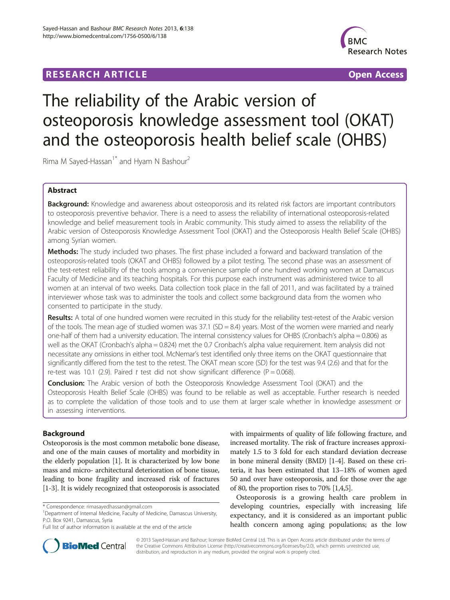## **RESEARCH ARTICLE Example 2014 CONSIDERING A RESEARCH ARTICLE**



# The reliability of the Arabic version of osteoporosis knowledge assessment tool (OKAT) and the osteoporosis health belief scale (OHBS)

Rima M Sayed-Hassan<sup>1\*</sup> and Hyam N Bashour<sup>2</sup>

## Abstract

Background: Knowledge and awareness about osteoporosis and its related risk factors are important contributors to osteoporosis preventive behavior. There is a need to assess the reliability of international osteoporosis-related knowledge and belief measurement tools in Arabic community. This study aimed to assess the reliability of the Arabic version of Osteoporosis Knowledge Assessment Tool (OKAT) and the Osteoporosis Health Belief Scale (OHBS) among Syrian women.

**Methods:** The study included two phases. The first phase included a forward and backward translation of the osteoporosis-related tools (OKAT and OHBS) followed by a pilot testing. The second phase was an assessment of the test-retest reliability of the tools among a convenience sample of one hundred working women at Damascus Faculty of Medicine and its teaching hospitals. For this purpose each instrument was administered twice to all women at an interval of two weeks. Data collection took place in the fall of 2011, and was facilitated by a trained interviewer whose task was to administer the tools and collect some background data from the women who consented to participate in the study.

Results: A total of one hundred women were recruited in this study for the reliability test-retest of the Arabic version of the tools. The mean age of studied women was 37.1  $(SD = 8.4)$  years. Most of the women were married and nearly one-half of them had a university education. The internal consistency values for OHBS (Cronbach's alpha = 0.806) as well as the OKAT (Cronbach's alpha = 0.824) met the 0.7 Cronbach's alpha value requirement. Item analysis did not necessitate any omissions in either tool. McNemar's test identified only three items on the OKAT questionnaire that significantly differed from the test to the retest. The OKAT mean score (SD) for the test was 9.4 (2.6) and that for the re-test was 10.1 (2.9). Paired t test did not show significant difference (P = 0.068).

Conclusion: The Arabic version of both the Osteoporosis Knowledge Assessment Tool (OKAT) and the Osteoporosis Health Belief Scale (OHBS) was found to be reliable as well as acceptable. Further research is needed as to complete the validation of those tools and to use them at larger scale whether in knowledge assessment or in assessing interventions.

## Background

Osteoporosis is the most common metabolic bone disease, and one of the main causes of mortality and morbidity in the elderly population [[1\]](#page-6-0). It is characterized by low bone mass and micro- architectural deterioration of bone tissue, leading to bone fragility and increased risk of fractures [[1-3\]](#page-6-0). It is widely recognized that osteoporosis is associated with impairments of quality of life following fracture, and increased mortality. The risk of fracture increases approximately 1.5 to 3 fold for each standard deviation decrease in bone mineral density (BMD) [[1-4\]](#page-6-0). Based on these criteria, it has been estimated that 13–18% of women aged 50 and over have osteoporosis, and for those over the age of 80, the proportion rises to 70% [\[1,4,5\]](#page-6-0).

Osteoporosis is a growing health care problem in developing countries, especially with increasing life expectancy, and it is considered as an important public health concern among aging populations; as the low



© 2013 Sayed-Hassan and Bashour; licensee BioMed Central Ltd. This is an Open Access article distributed under the terms of the Creative Commons Attribution License [\(http://creativecommons.org/licenses/by/2.0\)](http://creativecommons.org/licenses/by/2.0), which permits unrestricted use, distribution, and reproduction in any medium, provided the original work is properly cited.

<sup>\*</sup> Correspondence: [rimasayedhassan@gmail.com](mailto:rimasayedhassan@gmail.com) <sup>1</sup>

<sup>&</sup>lt;sup>1</sup>Department of Internal Medicine, Faculty of Medicine, Damascus University, P.O. Box 9241, Damascus, Syria

Full list of author information is available at the end of the article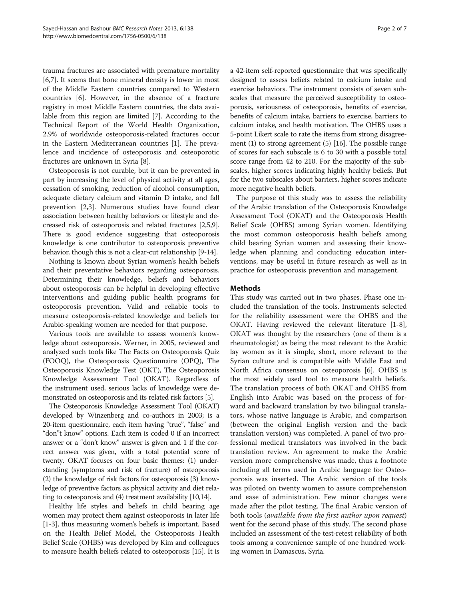trauma fractures are associated with premature mortality [[6,7\]](#page-6-0). It seems that bone mineral density is lower in most of the Middle Eastern countries compared to Western countries [[6\]](#page-6-0). However, in the absence of a fracture registry in most Middle Eastern countries, the data available from this region are limited [[7\]](#page-6-0). According to the Technical Report of the World Health Organization, 2.9% of worldwide osteoporosis-related fractures occur in the Eastern Mediterranean countries [[1\]](#page-6-0). The prevalence and incidence of osteoporosis and osteoporotic fractures are unknown in Syria [\[8](#page-6-0)].

Osteoporosis is not curable, but it can be prevented in part by increasing the level of physical activity at all ages, cessation of smoking, reduction of alcohol consumption, adequate dietary calcium and vitamin D intake, and fall prevention [[2,3\]](#page-6-0). Numerous studies have found clear association between healthy behaviors or lifestyle and decreased risk of osteoporosis and related fractures [[2,5](#page-6-0),[9](#page-6-0)]. There is good evidence suggesting that osteoporosis knowledge is one contributor to osteoporosis preventive behavior, though this is not a clear-cut relationship [\[9](#page-6-0)-[14](#page-6-0)].

Nothing is known about Syrian women's health beliefs and their preventative behaviors regarding osteoporosis. Determining their knowledge, beliefs and behaviors about osteoporosis can be helpful in developing effective interventions and guiding public health programs for osteoporosis prevention. Valid and reliable tools to measure osteoporosis-related knowledge and beliefs for Arabic-speaking women are needed for that purpose.

Various tools are available to assess women's knowledge about osteoporosis. Werner, in 2005, reviewed and analyzed such tools like The Facts on Osteoporosis Quiz (FOOQ), the Osteoporosis Questionnaire (OPQ), The Osteoporosis Knowledge Test (OKT), The Osteoporosis Knowledge Assessment Tool (OKAT). Regardless of the instrument used, serious lacks of knowledge were demonstrated on osteoporosis and its related risk factors [\[5](#page-6-0)].

The Osteoporosis Knowledge Assessment Tool (OKAT) developed by Winzenberg and co-authors in 2003; is a 20-item questionnaire, each item having "true", "false" and "don"t know" options. Each item is coded 0 if an incorrect answer or a "don't know" answer is given and 1 if the correct answer was given, with a total potential score of twenty. OKAT focuses on four basic themes: (1) understanding (symptoms and risk of fracture) of osteoporosis (2) the knowledge of risk factors for osteoporosis (3) knowledge of preventive factors as physical activity and diet relating to osteoporosis and (4) treatment availability [\[10,14\]](#page-6-0).

Healthy life styles and beliefs in child bearing age women may protect them against osteoporosis in later life [[1-3\]](#page-6-0), thus measuring women's beliefs is important. Based on the Health Belief Model, the Osteoporosis Health Belief Scale (OHBS) was developed by Kim and colleagues to measure health beliefs related to osteoporosis [\[15\]](#page-6-0). It is a 42-item self-reported questionnaire that was specifically designed to assess beliefs related to calcium intake and exercise behaviors. The instrument consists of seven subscales that measure the perceived susceptibility to osteoporosis, seriousness of osteoporosis, benefits of exercise, benefits of calcium intake, barriers to exercise, barriers to calcium intake, and health motivation. The OHBS uses a 5-point Likert scale to rate the items from strong disagreement (1) to strong agreement (5) [[16](#page-6-0)]. The possible range of scores for each subscale is 6 to 30 with a possible total score range from 42 to 210. For the majority of the subscales, higher scores indicating highly healthy beliefs. But for the two subscales about barriers, higher scores indicate more negative health beliefs.

The purpose of this study was to assess the reliability of the Arabic translation of the Osteoporosis Knowledge Assessment Tool (OKAT) and the Osteoporosis Health Belief Scale (OHBS) among Syrian women. Identifying the most common osteoporosis health beliefs among child bearing Syrian women and assessing their knowledge when planning and conducting education interventions, may be useful in future research as well as in practice for osteoporosis prevention and management.

## **Methods**

This study was carried out in two phases. Phase one included the translation of the tools. Instruments selected for the reliability assessment were the OHBS and the OKAT. Having reviewed the relevant literature [[1-8](#page-6-0)], OKAT was thought by the researchers (one of them is a rheumatologist) as being the most relevant to the Arabic lay women as it is simple, short, more relevant to the Syrian culture and is compatible with Middle East and North Africa consensus on osteoporosis [[6\]](#page-6-0). OHBS is the most widely used tool to measure health beliefs. The translation process of both OKAT and OHBS from English into Arabic was based on the process of forward and backward translation by two bilingual translators, whose native language is Arabic, and comparison (between the original English version and the back translation version) was completed. A panel of two professional medical translators was involved in the back translation review. An agreement to make the Arabic version more comprehensive was made, thus a footnote including all terms used in Arabic language for Osteoporosis was inserted. The Arabic version of the tools was piloted on twenty women to assure comprehension and ease of administration. Few minor changes were made after the pilot testing. The final Arabic version of both tools (available from the first author upon request) went for the second phase of this study. The second phase included an assessment of the test-retest reliability of both tools among a convenience sample of one hundred working women in Damascus, Syria.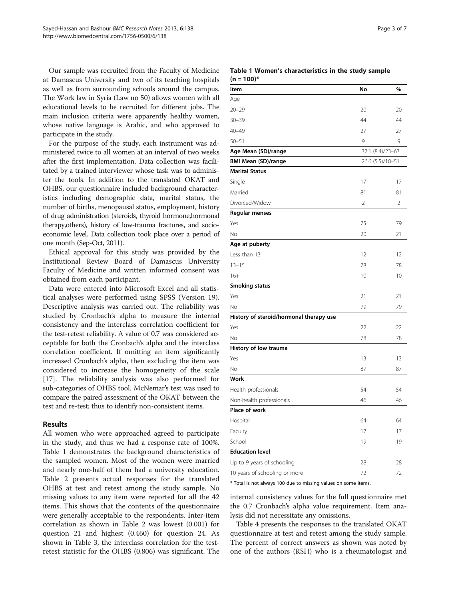Our sample was recruited from the Faculty of Medicine at Damascus University and two of its teaching hospitals as well as from surrounding schools around the campus. The Work law in Syria (Law no 50) allows women with all educational levels to be recruited for different jobs. The main inclusion criteria were apparently healthy women, whose native language is Arabic, and who approved to participate in the study.

For the purpose of the study, each instrument was administered twice to all women at an interval of two weeks after the first implementation. Data collection was facilitated by a trained interviewer whose task was to administer the tools. In addition to the translated OKAT and OHBS, our questionnaire included background characteristics including demographic data, marital status, the number of births, menopausal status, employment, history of drug administration (steroids, thyroid hormone,hormonal therapy,others), history of low-trauma fractures, and socioeconomic level. Data collection took place over a period of one month (Sep-Oct, 2011).

Ethical approval for this study was provided by the Institutional Review Board of Damascus University Faculty of Medicine and written informed consent was obtained from each participant.

Data were entered into Microsoft Excel and all statistical analyses were performed using SPSS (Version 19). Descriptive analysis was carried out. The reliability was studied by Cronbach's alpha to measure the internal consistency and the interclass correlation coefficient for the test-retest reliability. A value of 0.7 was considered acceptable for both the Cronbach's alpha and the interclass correlation coefficient. If omitting an item significantly increased Cronbach's alpha, then excluding the item was considered to increase the homogeneity of the scale [[17\]](#page-6-0). The reliability analysis was also performed for sub-categories of OHBS tool. McNemar's test was used to compare the paired assessment of the OKAT between the test and re-test; thus to identify non-consistent items.

## Results

All women who were approached agreed to participate in the study, and thus we had a response rate of 100%. Table 1 demonstrates the background characteristics of the sampled women. Most of the women were married and nearly one-half of them had a university education. Table [2](#page-3-0) presents actual responses for the translated OHBS at test and retest among the study sample. No missing values to any item were reported for all the 42 items. This shows that the contents of the questionnaire were generally acceptable to the respondents. Inter-item correlation as shown in Table [2](#page-3-0) was lowest (0.001) for question 21 and highest (0.460) for question 24. As shown in Table [3,](#page-4-0) the interclass correlation for the testretest statistic for the OHBS (0.806) was significant. The

| Page 3 of |  |  |  |
|-----------|--|--|--|
|-----------|--|--|--|

#### Table 1 Women's characteristics in the study sample  $(n - 100)$ \*

| , -<br>, וטטן                           |                  |    |
|-----------------------------------------|------------------|----|
| Item                                    | No               | %  |
| Age                                     |                  |    |
| $20 - 29$                               | 20               | 20 |
| $30 - 39$                               | 44               | 44 |
| $40 - 49$                               | 27               | 27 |
| $50 - 51$                               | 9                | 9  |
| Age Mean (SD)/range                     | 37.1 (8.4)/23-63 |    |
| <b>BMI Mean (SD)/range</b>              | 26.6 (5.5)/18-51 |    |
| <b>Marital Status</b>                   |                  |    |
| Single                                  | 17               | 17 |
| Married                                 | 81               | 81 |
| Divorced/Widow                          | $\overline{2}$   | 2  |
| <b>Regular menses</b>                   |                  |    |
| Yes                                     | 75               | 79 |
| No                                      | 20               | 21 |
| Age at puberty                          |                  |    |
| Less than 13                            | 12               | 12 |
| $13 - 15$                               | 78               | 78 |
| $16+$                                   | 10               | 10 |
| <b>Smoking status</b>                   |                  |    |
| Yes                                     | 21               | 21 |
| No                                      | 79               | 79 |
| History of steroid/hormonal therapy use |                  |    |
| Yes                                     | 22               | 22 |
| No                                      | 78               | 78 |
| History of low trauma                   |                  |    |
| Yes                                     | 13               | 13 |
| No                                      | 87               | 87 |
| <b>Work</b>                             |                  |    |
| Health professionals                    | 54               | 54 |
| Non-health professionals                | 46               | 46 |
| Place of work                           |                  |    |
| Hospital                                | 64               | 64 |
| Faculty                                 | 17               | 17 |
| School                                  | 19               | 19 |
| <b>Education level</b>                  |                  |    |
| Up to 9 years of schooling              | 28               | 28 |
| 10 years of schooling or more           | 72               | 72 |

\* Total is not always 100 due to missing values on some items.

internal consistency values for the full questionnaire met the 0.7 Cronbach's alpha value requirement. Item analysis did not necessitate any omissions.

Table [4](#page-5-0) presents the responses to the translated OKAT questionnaire at test and retest among the study sample. The percent of correct answers as shown was noted by one of the authors (RSH) who is a rheumatologist and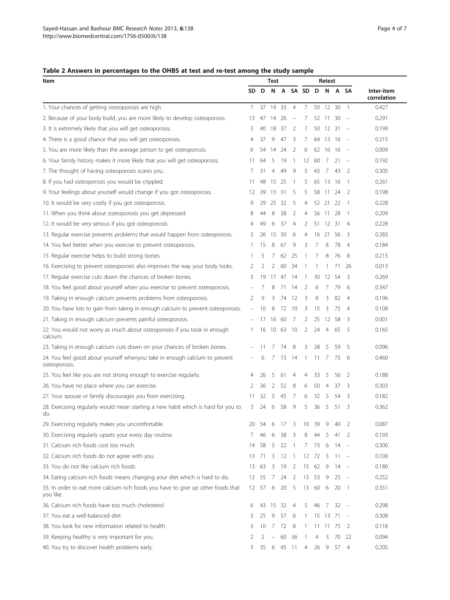## <span id="page-3-0"></span>Table 2 Answers in percentages to the OHBS at test and re-test among the study sample

| Item                                                                                          |    | <b>Test</b> |       |          |                          |                | Retest |                |     |                          |                           |
|-----------------------------------------------------------------------------------------------|----|-------------|-------|----------|--------------------------|----------------|--------|----------------|-----|--------------------------|---------------------------|
|                                                                                               | SD | D           | N     | A        |                          | SA SD D        |        | N              | A   | SΑ                       | Inter-item<br>correlation |
| 1. Your chances of getting osteoporosis are high.                                             | 7  | 37          | 19    | 33       | $\overline{4}$           | 7              |        | 50 12          | 30  | $\overline{1}$           | 0.427                     |
| 2. Because of your body build, you are more likely to develop osteoporosis.                   | 13 | 47          | 14    | 26       | $\overline{\phantom{a}}$ | 7              | 52     | -11            | 30  |                          | 0.291                     |
| 3. It is extremely likely that you will get osteoporosis.                                     | 3  | 40          |       | 18 37    | 2                        | 7              |        | 50 12 31       |     |                          | 0.199                     |
| 4. There is a good chance that you will get osteoporosis.                                     | 4  | 37          | 9     | 47       | 3                        | 7              |        | 64 13          | 16  |                          | 0.215                     |
| 5. You are more likely than the average person to get osteoporosis.                           | 6  | 54          | 14    | 24       | 2                        | 6              | 62     | -16            | 16  |                          | 0.009                     |
| 6. Your family history makes it more likely that you will get osteoporosis.                   | 11 | 64          | 5     | 19       | $\overline{1}$           | 12             | 60     | - 7            | 21  | $\overline{\phantom{a}}$ | 0.192                     |
| 7. The thought of having osteoporosis scares you.                                             | 7  | 31          | 4     | 49       | 9                        | 5              | 43     | 7              | 43  | 2                        | 0.305                     |
| 8. If you had osteoporosis you would be crippled.                                             | 11 | 48          | 15    | 25       | -1                       | 5              | 65     | 13             | -16 | -1                       | 0.261                     |
| 9. Your feelings about yourself would change if you got osteoporosis.                         | 12 | 39          | 13 31 |          | 5                        | 5              |        | 58 11          | 24  | 2                        | 0.198                     |
| 10. It would be very costly if you got osteoporosis.                                          | 9  | 29          | 25    | 32       | 5                        | 4              | 52     | 21             | 22  | -1                       | 0.228                     |
| 11. When you think about osteoporosis you get depressed.                                      | 8  | 44          | 8     | 38       | 2                        | 4              | 56     | -11            | 28  | -1                       | 0.209                     |
| 12. It would be very serious if you got osteoporosis.                                         | 4  | 49          | 6     | 37       | $\overline{4}$           | 2              |        | 51 12          | 31  | $\overline{4}$           | 0.228                     |
| 13. Regular exercise prevents problems that would happen from osteoporosis.                   | 3  | 26          | 15    | 50       | 6                        | 4              | 16     | -21            | 56  | 3                        | 0.283                     |
| 14. You feel better when you exercise to prevent osteoporosis.                                | 1  | 15          | 8     | 67       | 9                        | 3              | 7      | 8              | 78  | 4                        | 0.184                     |
| 15. Regular exercise helps to build strong bones.                                             | 1  | 5           | 7     | 62       | 25                       | -1             | 7      | 8              | 76  | 8                        | 0.215                     |
| 16. Exercising to prevent osteoporosis also improves the way your body looks.                 | 2  | 2           | 2     | 60       | 34                       | -1             | -1     | 1              | 71  | 26                       | 0.013                     |
| 17. Regular exercise cuts down the chances of broken bones.                                   | 3  | 19          | 17    | 47       | 14                       | -1             | 30     | 12             | 54  | 3                        | 0.269                     |
| 18. You feel good about yourself when you exercise to prevent osteoporosis.                   |    | 7           | 8     | 71       | 14                       | 2              | 6      | 7              | 79  | 6                        | 0.347                     |
| 19. Taking in enough calcium prevents problems from osteoporosis.                             | 2  | 9           | 3     | 74       | 12                       | 3              | 8      | 3              | 82  | 4                        | 0.196                     |
| 20. You have lots to gain from taking in enough calcium to prevent osteoporosis.              |    | 10          | 8     | 72       | 10                       | 3              | 15     | 3              | 75  | $\overline{4}$           | 0.108                     |
| 21. Taking in enough calcium prevents painful osteoporosis.                                   |    | 17          | 16    | -60      | 7                        | 2              | 25     | 12             | 58  | 3                        | 0.001                     |
| 22. You would not worry as much about osteoporosis if you took in enough<br>calcium.          | 1  | 16          | 10    | 63       | -10                      | 2              | 24     | $\overline{4}$ | 65  | 5                        | 0.165                     |
| 23. Taking in enough calcium cuts down on your chances of broken bones.                       |    | 11          | 7     | 74       | 8                        | 3              | 28     | 5              | 59  | 5                        | 0.096                     |
| 24. You feel good about yourself whenyou take in enough calcium to prevent<br>osteoporosis.   |    | 6           | 7     | 73       | 14                       | -1             | 11     | 7              | 75  | 6                        | 0.460                     |
| 25. You feel like you are not strong enough to exercise regularly.                            | 4  | 26          | 5     | 61       | 4                        | 4              | 33     | 5              | 56  | 2                        | 0.188                     |
| 26. You have no place where you can exercise.                                                 | 2  | 36          | 2     | 52       | 8                        | 6              | 50     | 4              | 37  | 3                        | 0.303                     |
| 27. Your spouse or family discourages you from exercising.                                    | 11 | 32          | 5     | 45       | 7                        | 6              | 32     | 5              | 54  | 3                        | 0.182                     |
| 28. Exercising regularly would mean starting a new habit which is hard for you to<br>do.      | 3  | 24          | 6     | 58       | 9                        | 5              | 36     | 5              | 51  | 3                        | 0.362                     |
| 29. Exercising regularly makes you uncomfortable.                                             | 20 | 54          | 6     | 17       | 3                        | 10             | 39     | 9              | 40  | 2                        | 0.087                     |
| 30. Exercising regularly upsets your every day routine.                                       | 7  | 46          | 6     | 38       | 3                        | 8              | 44     | 5              | 41  | 2                        | 0.193                     |
| 31. Calcium rich foods cost too much.                                                         | 14 | 58          | 5     | 22       | $\overline{1}$           | 7              | - 73   | 6              | 14  |                          | 0.300                     |
| 32. Calcium rich foods do not agree with you.                                                 | 13 | 71          | 3     | 12       | $\overline{1}$           | 12             | 72     | 5              | 11  | $\overline{\phantom{a}}$ | 0.100                     |
| 33. You do not like calcium rich foods.                                                       | 13 | 63          | 3     | 19       | -2                       | 15             | 62     | 9              | 14  | $\overline{\phantom{a}}$ | 0.180                     |
| 34. Eating calcium rich foods means changing your diet which is hard to do.                   | 12 | 55          | 7     | 24       | 2                        | 13             | 53     | 9              | 25  |                          | 0.252                     |
| 35. In order to eat more calcium rich foods you have to give up other foods that<br>you like. | 12 | 57          | 6     | 20       | -5                       | 13             | 60     | 6              | 20  | $\overline{1}$           | 0.351                     |
| 36. Calcium rich foods have too much cholesterol.                                             | 6  |             |       | 43 15 32 | $\overline{4}$           | 5              | 46     | 7              | 32  |                          | 0.298                     |
| 37. You eat a well-balanced diet.                                                             | 3  | 25          | 9     | 57       | 6                        | $\mathbf{1}$   | 15     | 13             | 71  |                          | 0.308                     |
| 38. You look for new information related to health.                                           | 3  | 10          | 7     | 72       | 8                        | $\mathbf{1}$   | 11     | 11             | 75  | 2                        | 0.118                     |
| 39. Keeping healthy is very important for you.                                                | 2  | 2           |       | 60       | -36                      | -1             | 4      | 3              | 70  | 22                       | 0.094                     |
| 40. You try to discover health problems early.                                                | 3  | 35          | 6     | 45       | $\overline{11}$          | $\overline{4}$ | 26     | -9             | 57  | $\overline{4}$           | 0.205                     |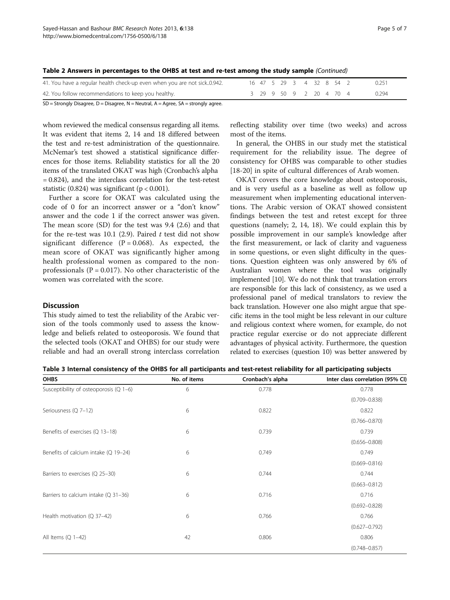| 41. You have a regular health check-up even when you are not sick0.942. |  |  |  |  | 16 47 5 29 3 4 32 8 54 2 | 0.251 |
|-------------------------------------------------------------------------|--|--|--|--|--------------------------|-------|
| 42. You follow recommendations to keep you healthy.                     |  |  |  |  | 3 29 9 50 9 2 20 4 70 4  | 0.294 |
| CD Channel: Discover D. Discover N. Neutral A. Aguss CA streamh cause   |  |  |  |  |                          |       |

<span id="page-4-0"></span>

| Table 2 Answers in percentages to the OHBS at test and re-test among the study sample (Continued) |  |  |
|---------------------------------------------------------------------------------------------------|--|--|
|---------------------------------------------------------------------------------------------------|--|--|

 $SD =$  Strongly Disagree,  $D =$  Disagree,  $N =$  Neutral,  $A =$  Agree,  $SA =$  strongly agree.

whom reviewed the medical consensus regarding all items. It was evident that items 2, 14 and 18 differed between the test and re-test administration of the questionnaire. McNemar's test showed a statistical significance differences for those items. Reliability statistics for all the 20 items of the translated OKAT was high (Cronbach's alpha = 0.824), and the interclass correlation for the test-retest statistic  $(0.824)$  was significant  $(p < 0.001)$ .

Further a score for OKAT was calculated using the code of 0 for an incorrect answer or a "don't know" answer and the code 1 if the correct answer was given. The mean score (SD) for the test was 9.4 (2.6) and that for the re-test was  $10.1$  (2.9). Paired t test did not show significant difference ( $P = 0.068$ ). As expected, the mean score of OKAT was significantly higher among health professional women as compared to the nonprofessionals ( $P = 0.017$ ). No other characteristic of the women was correlated with the score.

#### **Discussion**

This study aimed to test the reliability of the Arabic version of the tools commonly used to assess the knowledge and beliefs related to osteoporosis. We found that the selected tools (OKAT and OHBS) for our study were reliable and had an overall strong interclass correlation reflecting stability over time (two weeks) and across most of the items.

In general, the OHBS in our study met the statistical requirement for the reliability issue. The degree of consistency for OHBS was comparable to other studies [[18-20](#page-6-0)] in spite of cultural differences of Arab women.

OKAT covers the core knowledge about osteoporosis, and is very useful as a baseline as well as follow up measurement when implementing educational interventions. The Arabic version of OKAT showed consistent findings between the test and retest except for three questions (namely; 2, 14, 18). We could explain this by possible improvement in our sample's knowledge after the first measurement, or lack of clarity and vagueness in some questions, or even slight difficulty in the questions. Question eighteen was only answered by 6% of Australian women where the tool was originally implemented [\[10\]](#page-6-0). We do not think that translation errors are responsible for this lack of consistency, as we used a professional panel of medical translators to review the back translation. However one also might argue that specific items in the tool might be less relevant in our culture and religious context where women, for example, do not practice regular exercise or do not appreciate different advantages of physical activity. Furthermore, the question related to exercises (question 10) was better answered by

|  |  | Table 3 Internal consistency of the OHBS for all participants and test-retest reliability for all participating subjects |  |  |
|--|--|--------------------------------------------------------------------------------------------------------------------------|--|--|
|--|--|--------------------------------------------------------------------------------------------------------------------------|--|--|

| <b>OHBS</b>                            | No. of items | Cronbach's alpha | Inter class correlation (95% CI) |
|----------------------------------------|--------------|------------------|----------------------------------|
| Susceptibility of osteoporosis (Q 1-6) | 6            | 0.778            | 0.778                            |
|                                        |              |                  | $(0.709 - 0.838)$                |
| Seriousness (Q 7-12)                   | 6            | 0.822            | 0.822                            |
|                                        |              |                  | $(0.766 - 0.870)$                |
| Benefits of exercises (Q 13-18)        | 6            | 0.739            | 0.739                            |
|                                        |              |                  | $(0.656 - 0.808)$                |
| Benefits of calcium intake (Q 19-24)   | 6            | 0.749            | 0.749                            |
|                                        |              |                  | $(0.669 - 0.816)$                |
| Barriers to exercises (Q 25-30)        | 6            | 0.744            | 0.744                            |
|                                        |              |                  | $(0.663 - 0.812)$                |
| Barriers to calcium intake $(Q_31-36)$ | 6            | 0.716            | 0.716                            |
|                                        |              |                  | $(0.692 - 0.828)$                |
| Health motivation (Q 37-42)            | 6            | 0.766            | 0.766                            |
|                                        |              |                  | $(0.627 - 0.792)$                |
| All Items $(Q_1-42)$                   | 42           | 0.806            | 0.806                            |
|                                        |              |                  | $(0.748 - 0.857)$                |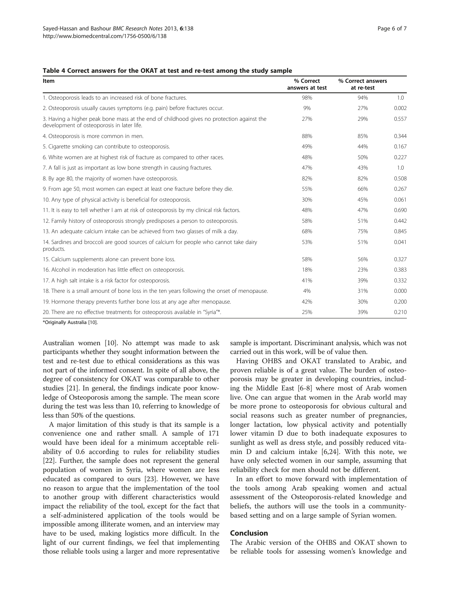### <span id="page-5-0"></span>Table 4 Correct answers for the OKAT at test and re-test among the study sample

| Item                                                                                                                                    | % Correct<br>answers at test | % Correct answers<br>at re-test |       |
|-----------------------------------------------------------------------------------------------------------------------------------------|------------------------------|---------------------------------|-------|
| 1. Osteoporosis leads to an increased risk of bone fractures.                                                                           | 98%                          | 94%                             | 1.0   |
| 2. Osteoporosis usually causes symptoms (e.g. pain) before fractures occur.                                                             | 9%                           | 27%                             | 0.002 |
| 3. Having a higher peak bone mass at the end of childhood gives no protection against the<br>development of osteoporosis in later life. | 27%                          | 29%                             | 0.557 |
| 4. Osteoporosis is more common in men.                                                                                                  | 88%                          | 85%                             | 0.344 |
| 5. Cigarette smoking can contribute to osteoporosis.                                                                                    | 49%                          | 44%                             | 0.167 |
| 6. White women are at highest risk of fracture as compared to other races.                                                              | 48%                          | 50%                             | 0.227 |
| 7. A fall is just as important as low bone strength in causing fractures.                                                               | 47%                          | 43%                             | 1.0   |
| 8. By age 80, the majority of women have osteoporosis.                                                                                  | 82%                          | 82%                             | 0.508 |
| 9. From age 50, most women can expect at least one fracture before they die.                                                            | 55%                          | 66%                             | 0.267 |
| 10. Any type of physical activity is beneficial for osteoporosis.                                                                       | 30%                          | 45%                             | 0.061 |
| 11. It is easy to tell whether I am at risk of osteoporosis by my clinical risk factors.                                                | 48%                          | 47%                             | 0.690 |
| 12. Family history of osteoporosis strongly predisposes a person to osteoporosis.                                                       | 58%                          | 51%                             | 0.442 |
| 13. An adequate calcium intake can be achieved from two glasses of milk a day.                                                          | 68%                          | 75%                             | 0.845 |
| 14. Sardines and broccoli are good sources of calcium for people who cannot take dairy<br>products.                                     | 53%                          | 51%                             | 0.041 |
| 15. Calcium supplements alone can prevent bone loss.                                                                                    | 58%                          | 56%                             | 0.327 |
| 16. Alcohol in moderation has little effect on osteoporosis.                                                                            | 18%                          | 23%                             | 0.383 |
| 17. A high salt intake is a risk factor for osteoporosis.                                                                               | 41%                          | 39%                             | 0.332 |
| 18. There is a small amount of bone loss in the ten years following the onset of menopause.                                             | 4%                           | 31%                             | 0.000 |
| 19. Hormone therapy prevents further bone loss at any age after menopause.                                                              | 42%                          | 30%                             | 0.200 |
| 20. There are no effective treatments for osteoporosis available in "Syria"*.                                                           | 25%                          | 39%                             | 0.210 |

\*Originally Australia [[10](#page-6-0)].

Australian women [[10](#page-6-0)]. No attempt was made to ask participants whether they sought information between the test and re-test due to ethical considerations as this was not part of the informed consent. In spite of all above, the degree of consistency for OKAT was comparable to other studies [\[21\]](#page-6-0). In general, the findings indicate poor knowledge of Osteoporosis among the sample. The mean score during the test was less than 10, referring to knowledge of less than 50% of the questions.

A major limitation of this study is that its sample is a convenience one and rather small. A sample of 171 would have been ideal for a minimum acceptable reliability of 0.6 according to rules for reliability studies [[22\]](#page-6-0). Further, the sample does not represent the general population of women in Syria, where women are less educated as compared to ours [\[23\]](#page-6-0). However, we have no reason to argue that the implementation of the tool to another group with different characteristics would impact the reliability of the tool, except for the fact that a self-administered application of the tools would be impossible among illiterate women, and an interview may have to be used, making logistics more difficult. In the light of our current findings, we feel that implementing those reliable tools using a larger and more representative

sample is important. Discriminant analysis, which was not carried out in this work, will be of value then.

Having OHBS and OKAT translated to Arabic, and proven reliable is of a great value. The burden of osteoporosis may be greater in developing countries, including the Middle East [\[6](#page-6-0)-[8\]](#page-6-0) where most of Arab women live. One can argue that women in the Arab world may be more prone to osteoporosis for obvious cultural and social reasons such as greater number of pregnancies, longer lactation, low physical activity and potentially lower vitamin D due to both inadequate exposures to sunlight as well as dress style, and possibly reduced vitamin D and calcium intake [[6](#page-6-0),[24](#page-6-0)]. With this note, we have only selected women in our sample, assuming that reliability check for men should not be different.

In an effort to move forward with implementation of the tools among Arab speaking women and actual assessment of the Osteoporosis-related knowledge and beliefs, the authors will use the tools in a communitybased setting and on a large sample of Syrian women.

#### Conclusion

The Arabic version of the OHBS and OKAT shown to be reliable tools for assessing women's knowledge and